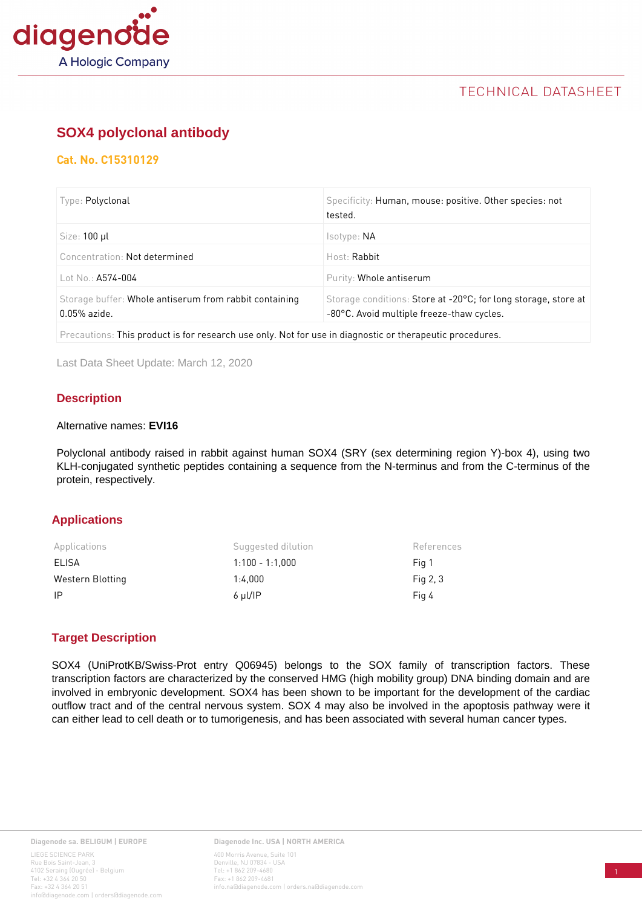

## **TECHNICAL DATASHEET**

# **[SOX4 polyclonal antibody](https://www.diagenode.com/en/p/sox4-polyclonal-antibody-pioneer-100-ul)**

## **Cat. No. C15310129**

| Type: Polyclonal                                                         | Specificity: Human, mouse: positive. Other species: not<br>tested.                                          |
|--------------------------------------------------------------------------|-------------------------------------------------------------------------------------------------------------|
| Size: 100 µl                                                             | Isotype: NA                                                                                                 |
| Concentration: Not determined                                            | Host: Rabbit                                                                                                |
| Lot No.: A574-004                                                        | Purity: Whole antiserum                                                                                     |
| Storage buffer: Whole antiserum from rabbit containing<br>$0.05%$ azide. | Storage conditions: Store at -20°C; for long storage, store at<br>-80°C. Avoid multiple freeze-thaw cycles. |
|                                                                          |                                                                                                             |

Precautions: This product is for research use only. Not for use in diagnostic or therapeutic procedures.

Last Data Sheet Update: March 12, 2020

## **Description**

#### Alternative names: **EVI16**

Polyclonal antibody raised in rabbit against human SOX4 (SRY (sex determining region Y)-box 4), using two KLH-conjugated synthetic peptides containing a sequence from the N-terminus and from the C-terminus of the protein, respectively.

### **Applications**

| Applications     | Suggested dilution | References |
|------------------|--------------------|------------|
| ELISA            | $1:100 - 1:1.000$  | Fig 1      |
| Western Blotting | 1:4.000            | Fig $2, 3$ |
| -IP              | $6 \mu I/IP$       | Fig 4      |

### **Target Description**

SOX4 (UniProtKB/Swiss-Prot entry Q06945) belongs to the SOX family of transcription factors. These transcription factors are characterized by the conserved HMG (high mobility group) DNA binding domain and are involved in embryonic development. SOX4 has been shown to be important for the development of the cardiac outflow tract and of the central nervous system. SOX 4 may also be involved in the apoptosis pathway were it can either lead to cell death or to tumorigenesis, and has been associated with several human cancer types.

**Diagenode Inc. USA | NORTH AMERICA** 400 Morris Avenue, Suite 101 Denville, NJ 07834 - USA Tel: +1 862 209-4680 Fax: +1 862 209-4681 info.na@diagenode.com | orders.na@diagenode.com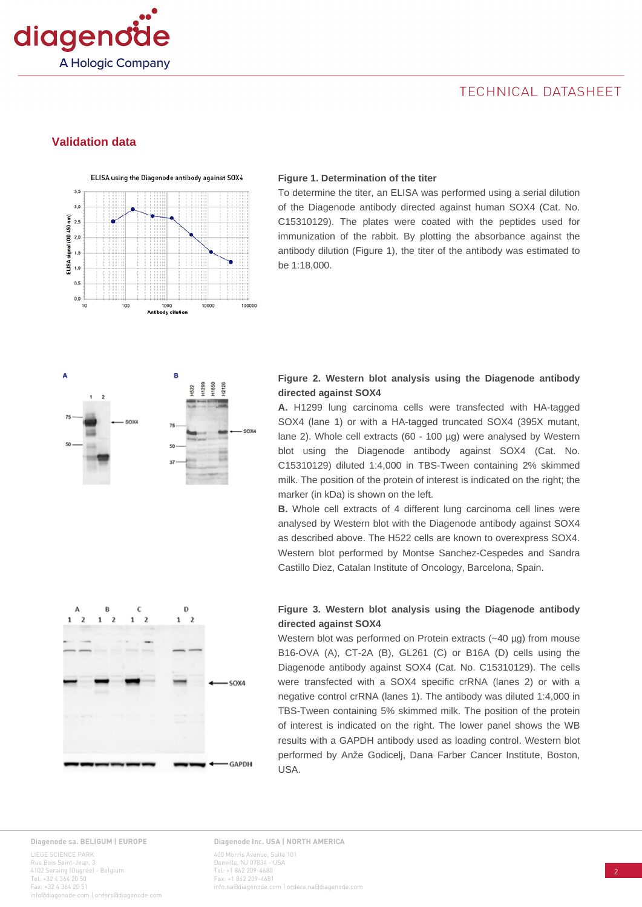

## TECHNICAL DATASHEET

### **Validation data**



#### **Figure 1. Determination of the titer**

To determine the titer, an ELISA was performed using a serial dilution of the Diagenode antibody directed against human SOX4 (Cat. No. C15310129). The plates were coated with the peptides used for immunization of the rabbit. By plotting the absorbance against the antibody dilution (Figure 1), the titer of the antibody was estimated to be 1:18,000.



#### **Figure 2. Western blot analysis using the Diagenode antibody directed against SOX4**

**A.** H1299 lung carcinoma cells were transfected with HA-tagged SOX4 (lane 1) or with a HA-tagged truncated SOX4 (395X mutant, lane 2). Whole cell extracts (60 - 100 µg) were analysed by Western blot using the Diagenode antibody against SOX4 (Cat. No. C15310129) diluted 1:4,000 in TBS-Tween containing 2% skimmed milk. The position of the protein of interest is indicated on the right; the marker (in kDa) is shown on the left.

**B.** Whole cell extracts of 4 different lung carcinoma cell lines were analysed by Western blot with the Diagenode antibody against SOX4 as described above. The H522 cells are known to overexpress SOX4. Western blot performed by Montse Sanchez-Cespedes and Sandra Castillo Diez, Catalan Institute of Oncology, Barcelona, Spain.



#### **Figure 3. Western blot analysis using the Diagenode antibody directed against SOX4**

Western blot was performed on Protein extracts (~40 µg) from mouse B16-OVA (A), CT-2A (B), GL261 (C) or B16A (D) cells using the Diagenode antibody against SOX4 (Cat. No. C15310129). The cells were transfected with a SOX4 specific crRNA (lanes 2) or with a negative control crRNA (lanes 1). The antibody was diluted 1:4,000 in TBS-Tween containing 5% skimmed milk. The position of the protein of interest is indicated on the right. The lower panel shows the WB results with a GAPDH antibody used as loading control. Western blot performed by Anže Godicelj, Dana Farber Cancer Institute, Boston, USA.

#### **Diagenode sa. BELIGUM | EUROPE**

LIEGE SCIENCE PARK Rue Bois Saint-Jean, 3 4102 Seraing (Ougrée) - Belgium Tel: +32 4 364 20 50 Fax: +32 4 364 20 51 iagenode.com | orders@diage

#### **Diagenode Inc. USA | NORTH AMERICA** 400 Morris Avenue, Suite 101 Denville, NJ 07834 - USA Tel: +1 862 209-4680 Fax: +1 862 209-4681 info.na@diagenode.com | orders.na@diagenode.com